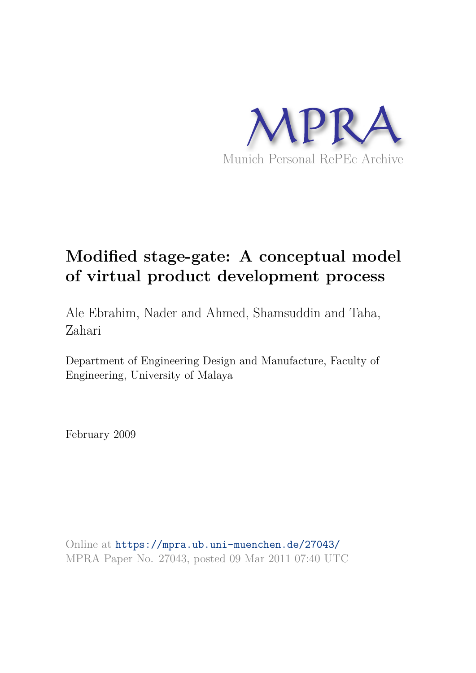

# **Modified stage-gate: A conceptual model of virtual product development process**

Ale Ebrahim, Nader and Ahmed, Shamsuddin and Taha, Zahari

Department of Engineering Design and Manufacture, Faculty of Engineering, University of Malaya

February 2009

Online at https://mpra.ub.uni-muenchen.de/27043/ MPRA Paper No. 27043, posted 09 Mar 2011 07:40 UTC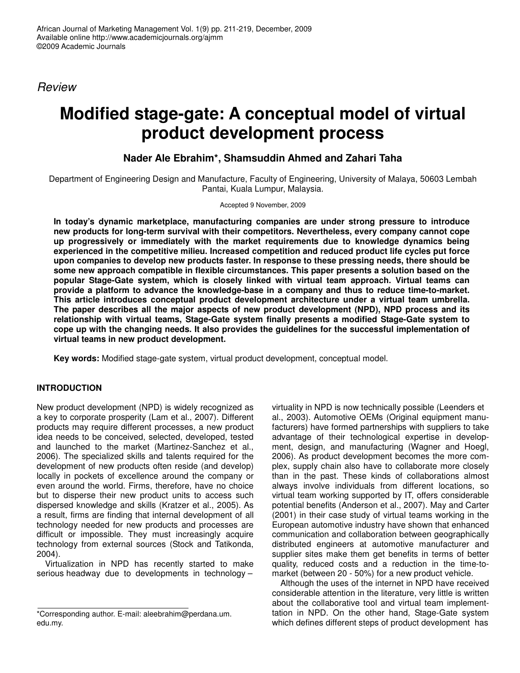Review

## **Modified stage-gate: A conceptual model of virtual product development process**

## **Nader Ale Ebrahim\*, Shamsuddin Ahmed and Zahari Taha**

Department of Engineering Design and Manufacture, Faculty of Engineering, University of Malaya, 50603 Lembah Pantai, Kuala Lumpur, Malaysia.

Accepted 9 November, 2009

**In today's dynamic marketplace, manufacturing companies are under strong pressure to introduce new products for long-term survival with their competitors. Nevertheless, every company cannot cope up progressively or immediately with the market requirements due to knowledge dynamics being experienced in the competitive milieu. Increased competition and reduced product life cycles put force upon companies to develop new products faster. In response to these pressing needs, there should be some new approach compatible in flexible circumstances. This paper presents a solution based on the popular Stage-Gate system, which is closely linked with virtual team approach. Virtual teams can provide a platform to advance the knowledge-base in a company and thus to reduce time-to-market. This article introduces conceptual product development architecture under a virtual team umbrella. The paper describes all the major aspects of new product development (NPD), NPD process and its relationship with virtual teams, Stage-Gate system finally presents a modified Stage-Gate system to cope up with the changing needs. It also provides the guidelines for the successful implementation of virtual teams in new product development.** 

**Key words:** Modified stage-gate system, virtual product development, conceptual model.

### **INTRODUCTION**

New product development (NPD) is widely recognized as a key to corporate prosperity (Lam et al., 2007). Different products may require different processes, a new product idea needs to be conceived, selected, developed, tested and launched to the market (Martinez-Sanchez et al., 2006). The specialized skills and talents required for the development of new products often reside (and develop) locally in pockets of excellence around the company or even around the world. Firms, therefore, have no choice but to disperse their new product units to access such dispersed knowledge and skills (Kratzer et al., 2005). As a result, firms are finding that internal development of all technology needed for new products and processes are difficult or impossible. They must increasingly acquire technology from external sources (Stock and Tatikonda, 2004).

Virtualization in NPD has recently started to make serious headway due to developments in technology –

virtuality in NPD is now technically possible (Leenders et al., 2003). Automotive OEMs (Original equipment manufacturers) have formed partnerships with suppliers to take advantage of their technological expertise in development, design, and manufacturing (Wagner and Hoegl, 2006). As product development becomes the more complex, supply chain also have to collaborate more closely than in the past. These kinds of collaborations almost always involve individuals from different locations, so virtual team working supported by IT, offers considerable potential benefits (Anderson et al., 2007). May and Carter (2001) in their case study of virtual teams working in the European automotive industry have shown that enhanced communication and collaboration between geographically distributed engineers at automotive manufacturer and supplier sites make them get benefits in terms of better quality, reduced costs and a reduction in the time-tomarket (between 20 - 50%) for a new product vehicle.

Although the uses of the internet in NPD have received considerable attention in the literature, very little is written about the collaborative tool and virtual team implementtation in NPD. On the other hand, Stage-Gate system which defines different steps of product development has

<sup>\*</sup>Corresponding author. E-mail: aleebrahim@perdana.um. edu.my.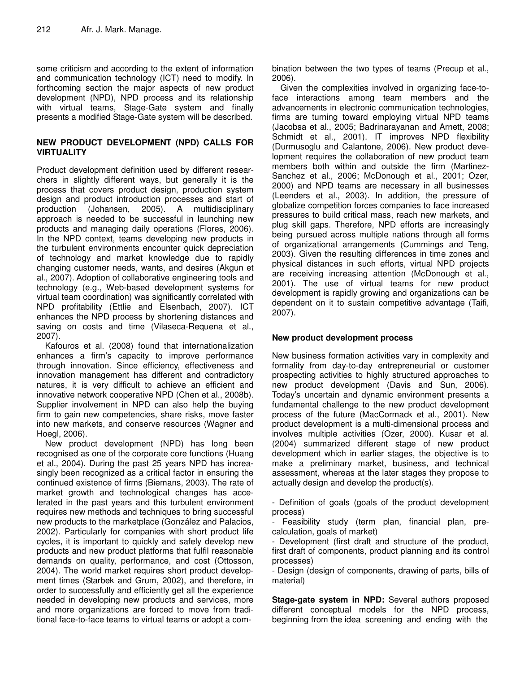some criticism and according to the extent of information and communication technology (ICT) need to modify. In forthcoming section the major aspects of new product development (NPD), NPD process and its relationship with virtual teams, Stage-Gate system and finally presents a modified Stage-Gate system will be described.

#### **NEW PRODUCT DEVELOPMENT (NPD) CALLS FOR VIRTUALITY**

Product development definition used by different researchers in slightly different ways, but generally it is the process that covers product design, production system design and product introduction processes and start of production (Johansen, 2005). A multidisciplinary approach is needed to be successful in launching new products and managing daily operations (Flores, 2006). In the NPD context, teams developing new products in the turbulent environments encounter quick depreciation of technology and market knowledge due to rapidly changing customer needs, wants, and desires (Akgun et al., 2007). Adoption of collaborative engineering tools and technology (e.g., Web-based development systems for virtual team coordination) was significantly correlated with NPD profitability (Ettlie and Elsenbach, 2007). ICT enhances the NPD process by shortening distances and saving on costs and time (Vilaseca-Requena et al., 2007).

Kafouros et al. (2008) found that internationalization enhances a firm's capacity to improve performance through innovation. Since efficiency, effectiveness and innovation management has different and contradictory natures, it is very difficult to achieve an efficient and innovative network cooperative NPD (Chen et al., 2008b). Supplier involvement in NPD can also help the buying firm to gain new competencies, share risks, move faster into new markets, and conserve resources (Wagner and Hoegl, 2006).

New product development (NPD) has long been recognised as one of the corporate core functions (Huang et al., 2004). During the past 25 years NPD has increasingly been recognized as a critical factor in ensuring the continued existence of firms (Biemans, 2003). The rate of market growth and technological changes has accelerated in the past years and this turbulent environment requires new methods and techniques to bring successful new products to the marketplace (González and Palacios, 2002). Particularly for companies with short product life cycles, it is important to quickly and safely develop new products and new product platforms that fulfil reasonable demands on quality, performance, and cost (Ottosson, 2004). The world market requires short product development times (Starbek and Grum, 2002), and therefore, in order to successfully and efficiently get all the experience needed in developing new products and services, more and more organizations are forced to move from traditional face-to-face teams to virtual teams or adopt a combination between the two types of teams (Precup et al., 2006).

Given the complexities involved in organizing face-toface interactions among team members and the advancements in electronic communication technologies, firms are turning toward employing virtual NPD teams (Jacobsa et al., 2005; Badrinarayanan and Arnett, 2008; Schmidt et al., 2001). IT improves NPD flexibility (Durmusoglu and Calantone, 2006). New product development requires the collaboration of new product team members both within and outside the firm (Martinez-Sanchez et al., 2006; McDonough et al., 2001; Ozer, 2000) and NPD teams are necessary in all businesses (Leenders et al., 2003). In addition, the pressure of globalize competition forces companies to face increased pressures to build critical mass, reach new markets, and plug skill gaps. Therefore, NPD efforts are increasingly being pursued across multiple nations through all forms of organizational arrangements (Cummings and Teng, 2003). Given the resulting differences in time zones and physical distances in such efforts, virtual NPD projects are receiving increasing attention (McDonough et al., 2001). The use of virtual teams for new product development is rapidly growing and organizations can be dependent on it to sustain competitive advantage (Taifi, 2007).

#### **New product development process**

New business formation activities vary in complexity and formality from day-to-day entrepreneurial or customer prospecting activities to highly structured approaches to new product development (Davis and Sun, 2006). Today's uncertain and dynamic environment presents a fundamental challenge to the new product development process of the future (MacCormack et al., 2001). New product development is a multi-dimensional process and involves multiple activities (Ozer, 2000). Kusar et al. (2004) summarized different stage of new product development which in earlier stages, the objective is to make a preliminary market, business, and technical assessment, whereas at the later stages they propose to actually design and develop the product(s).

- Definition of goals (goals of the product development process)

- Feasibility study (term plan, financial plan, precalculation, goals of market)

- Development (first draft and structure of the product, first draft of components, product planning and its control processes)

- Design (design of components, drawing of parts, bills of material)

**Stage-gate system in NPD:** Several authors proposed different conceptual models for the NPD process, beginning from the idea screening and ending with the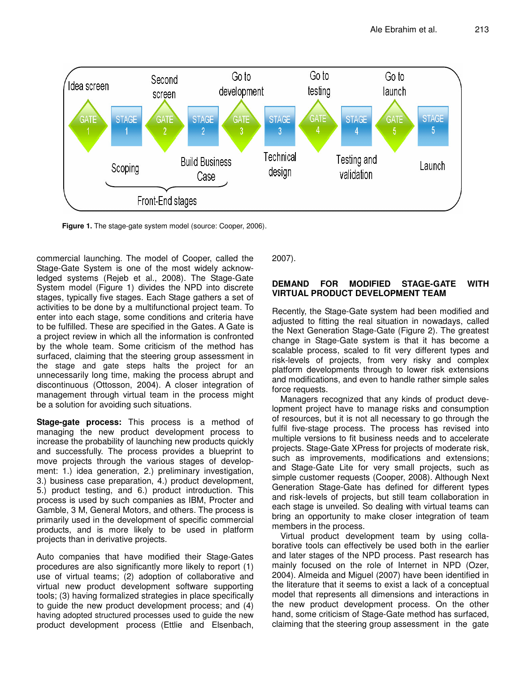

**Figure 1.** The stage-gate system model (source: Cooper, 2006).

commercial launching. The model of Cooper, called the Stage-Gate System is one of the most widely acknowledged systems (Rejeb et al., 2008). The Stage-Gate System model (Figure 1) divides the NPD into discrete stages, typically five stages. Each Stage gathers a set of activities to be done by a multifunctional project team. To enter into each stage, some conditions and criteria have to be fulfilled. These are specified in the Gates. A Gate is a project review in which all the information is confronted by the whole team. Some criticism of the method has surfaced, claiming that the steering group assessment in the stage and gate steps halts the project for an unnecessarily long time, making the process abrupt and discontinuous (Ottosson, 2004). A closer integration of management through virtual team in the process might be a solution for avoiding such situations.

**Stage-gate process:** This process is a method of managing the new product development process to increase the probability of launching new products quickly and successfully. The process provides a blueprint to move projects through the various stages of development: 1.) idea generation, 2.) preliminary investigation, 3.) business case preparation, 4.) product development, 5.) product testing, and 6.) product introduction. This process is used by such companies as IBM, Procter and Gamble, 3 M, General Motors, and others. The process is primarily used in the development of specific commercial products, and is more likely to be used in platform projects than in derivative projects.

Auto companies that have modified their Stage-Gates procedures are also significantly more likely to report (1) use of virtual teams; (2) adoption of collaborative and virtual new product development software supporting tools; (3) having formalized strategies in place specifically to guide the new product development process; and (4) having adopted structured processes used to guide the new product development process (Ettlie and Elsenbach, 2007).

#### **DEMAND FOR MODIFIED STAGE-GATE WITH VIRTUAL PRODUCT DEVELOPMENT TEAM**

Recently, the Stage-Gate system had been modified and adjusted to fitting the real situation in nowadays, called the Next Generation Stage-Gate (Figure 2). The greatest change in Stage-Gate system is that it has become a scalable process, scaled to fit very different types and risk-levels of projects, from very risky and complex platform developments through to lower risk extensions and modifications, and even to handle rather simple sales force requests.

Managers recognized that any kinds of product development project have to manage risks and consumption of resources, but it is not all necessary to go through the fulfil five-stage process. The process has revised into multiple versions to fit business needs and to accelerate projects. Stage-Gate XPress for projects of moderate risk, such as improvements, modifications and extensions; and Stage-Gate Lite for very small projects, such as simple customer requests (Cooper, 2008). Although Next Generation Stage-Gate has defined for different types and risk-levels of projects, but still team collaboration in each stage is unveiled. So dealing with virtual teams can bring an opportunity to make closer integration of team members in the process.

Virtual product development team by using collaborative tools can effectively be used both in the earlier and later stages of the NPD process. Past research has mainly focused on the role of Internet in NPD (Ozer, 2004). Almeida and Miguel (2007) have been identified in the literature that it seems to exist a lack of a conceptual model that represents all dimensions and interactions in the new product development process. On the other hand, some criticism of Stage-Gate method has surfaced, claiming that the steering group assessment in the gate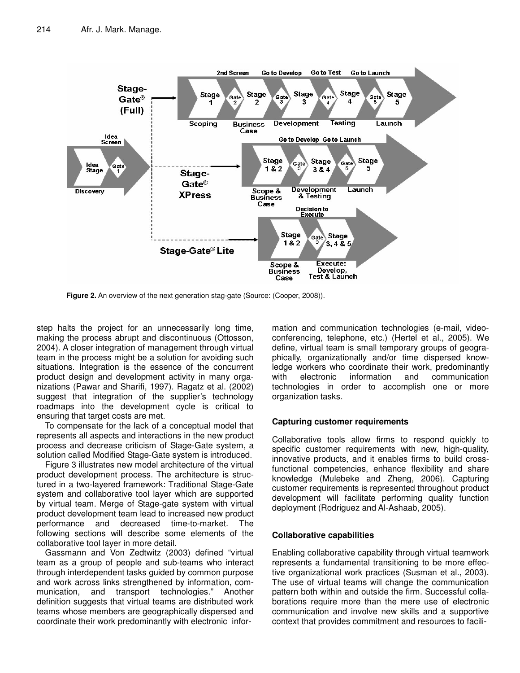

**Figure 2.** An overview of the next generation stag-gate (Source: (Cooper, 2008)).

step halts the project for an unnecessarily long time, making the process abrupt and discontinuous (Ottosson, 2004). A closer integration of management through virtual team in the process might be a solution for avoiding such situations. Integration is the essence of the concurrent product design and development activity in many organizations (Pawar and Sharifi, 1997). Ragatz et al. (2002) suggest that integration of the supplier's technology roadmaps into the development cycle is critical to ensuring that target costs are met.

To compensate for the lack of a conceptual model that represents all aspects and interactions in the new product process and decrease criticism of Stage-Gate system, a solution called Modified Stage-Gate system is introduced.

Figure 3 illustrates new model architecture of the virtual product development process. The architecture is structured in a two-layered framework: Traditional Stage-Gate system and collaborative tool layer which are supported by virtual team. Merge of Stage-gate system with virtual product development team lead to increased new product performance and decreased time-to-market. The following sections will describe some elements of the collaborative tool layer in more detail.

Gassmann and Von Zedtwitz (2003) defined "virtual team as a group of people and sub-teams who interact through interdependent tasks guided by common purpose and work across links strengthened by information, communication, and transport technologies." Another definition suggests that virtual teams are distributed work teams whose members are geographically dispersed and coordinate their work predominantly with electronic infor-

mation and communication technologies (e-mail, videoconferencing, telephone, etc.) (Hertel et al., 2005). We define, virtual team is small temporary groups of geographically, organizationally and/or time dispersed knowledge workers who coordinate their work, predominantly with electronic information and communication technologies in order to accomplish one or more organization tasks.

#### **Capturing customer requirements**

Collaborative tools allow firms to respond quickly to specific customer requirements with new, high-quality, innovative products, and it enables firms to build crossfunctional competencies, enhance flexibility and share knowledge (Mulebeke and Zheng, 2006). Capturing customer requirements is represented throughout product development will facilitate performing quality function deployment (Rodriguez and Al-Ashaab, 2005).

#### **Collaborative capabilities**

Enabling collaborative capability through virtual teamwork represents a fundamental transitioning to be more effective organizational work practices (Susman et al., 2003). The use of virtual teams will change the communication pattern both within and outside the firm. Successful collaborations require more than the mere use of electronic communication and involve new skills and a supportive context that provides commitment and resources to facili-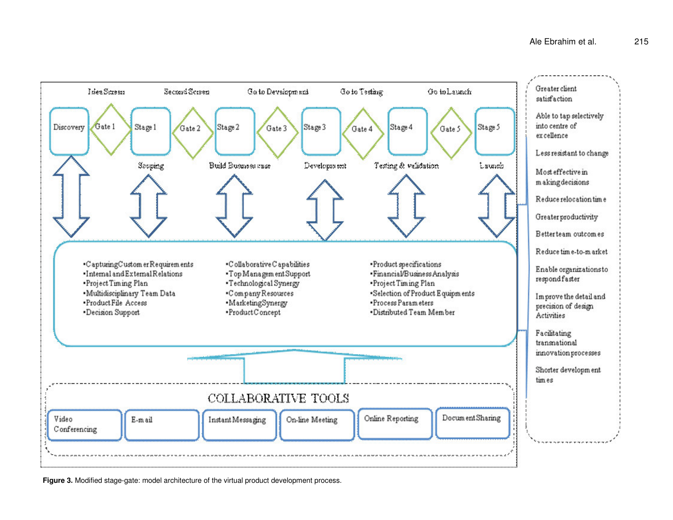

**Figure 3.** Modified stage-gate: model architecture of the virtual product development process.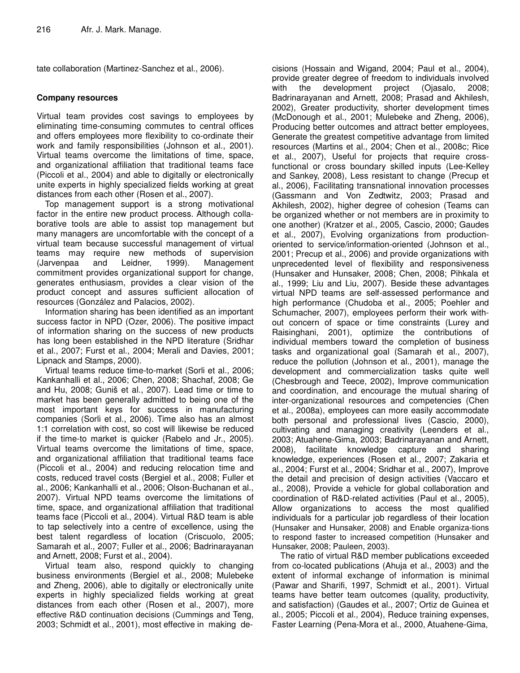tate collaboration (Martinez-Sanchez et al., 2006).

#### **Company resources**

Virtual team provides cost savings to employees by eliminating time-consuming commutes to central offices and offers employees more flexibility to co-ordinate their work and family responsibilities (Johnson et al., 2001). Virtual teams overcome the limitations of time, space, and organizational affiliation that traditional teams face (Piccoli et al., 2004) and able to digitally or electronically unite experts in highly specialized fields working at great distances from each other (Rosen et al., 2007).

Top management support is a strong motivational factor in the entire new product process. Although collaborative tools are able to assist top management but many managers are uncomfortable with the concept of a virtual team because successful management of virtual teams may require new methods of supervision (Jarvenpaa and Leidner, 1999). Management commitment provides organizational support for change, generates enthusiasm, provides a clear vision of the product concept and assures sufficient allocation of resources (González and Palacios, 2002).

Information sharing has been identified as an important success factor in NPD (Ozer, 2006). The positive impact of information sharing on the success of new products has long been established in the NPD literature (Sridhar et al., 2007; Furst et al., 2004; Merali and Davies, 2001; Lipnack and Stamps, 2000).

Virtual teams reduce time-to-market (Sorli et al., 2006; Kankanhalli et al., 2006; Chen, 2008; Shachaf, 2008; Ge and Hu, 2008; Guniš et al., 2007). Lead time or time to market has been generally admitted to being one of the most important keys for success in manufacturing companies (Sorli et al., 2006). Time also has an almost 1:1 correlation with cost, so cost will likewise be reduced if the time-to market is quicker (Rabelo and Jr., 2005). Virtual teams overcome the limitations of time, space, and organizational affiliation that traditional teams face (Piccoli et al., 2004) and reducing relocation time and costs, reduced travel costs (Bergiel et al., 2008; Fuller et al., 2006; Kankanhalli et al., 2006; Olson-Buchanan et al., 2007). Virtual NPD teams overcome the limitations of time, space, and organizational affiliation that traditional teams face (Piccoli et al., 2004). Virtual R&D team is able to tap selectively into a centre of excellence, using the best talent regardless of location (Criscuolo, 2005; Samarah et al., 2007; Fuller et al., 2006; Badrinarayanan and Arnett, 2008; Furst et al., 2004).

Virtual team also, respond quickly to changing business environments (Bergiel et al., 2008; Mulebeke and Zheng, 2006), able to digitally or electronically unite experts in highly specialized fields working at great distances from each other (Rosen et al., 2007), more effective R&D continuation decisions (Cummings and Teng, 2003; Schmidt et al., 2001), most effective in making de-

cisions (Hossain and Wigand, 2004; Paul et al., 2004), provide greater degree of freedom to individuals involved with the development project (Ojasalo, 2008; Badrinarayanan and Arnett, 2008; Prasad and Akhilesh, 2002), Greater productivity, shorter development times (McDonough et al., 2001; Mulebeke and Zheng, 2006), Producing better outcomes and attract better employees, Generate the greatest competitive advantage from limited resources (Martins et al., 2004; Chen et al., 2008c; Rice et al., 2007), Useful for projects that require crossfunctional or cross boundary skilled inputs (Lee-Kelley and Sankey, 2008), Less resistant to change (Precup et al., 2006), Facilitating transnational innovation processes (Gassmann and Von Zedtwitz, 2003; Prasad and Akhilesh, 2002), higher degree of cohesion (Teams can be organized whether or not members are in proximity to one another) (Kratzer et al., 2005, Cascio, 2000; Gaudes et al., 2007), Evolving organizations from productionoriented to service/information-oriented (Johnson et al., 2001; Precup et al., 2006) and provide organizations with unprecedented level of flexibility and responsiveness (Hunsaker and Hunsaker, 2008; Chen, 2008; Pihkala et al., 1999; Liu and Liu, 2007). Beside these advantages virtual NPD teams are self-assessed performance and high performance (Chudoba et al., 2005; Poehler and Schumacher, 2007), employees perform their work without concern of space or time constraints (Lurey and Raisinghani, 2001), optimize the contributions of individual members toward the completion of business tasks and organizational goal (Samarah et al., 2007), reduce the pollution (Johnson et al., 2001), manage the development and commercialization tasks quite well (Chesbrough and Teece, 2002), Improve communication and coordination, and encourage the mutual sharing of inter-organizational resources and competencies (Chen et al., 2008a), employees can more easily accommodate both personal and professional lives (Cascio, 2000), cultivating and managing creativity (Leenders et al., 2003; Atuahene-Gima, 2003; Badrinarayanan and Arnett, 2008), facilitate knowledge capture and sharing knowledge, experiences (Rosen et al., 2007; Zakaria et al., 2004; Furst et al., 2004; Sridhar et al., 2007), Improve the detail and precision of design activities (Vaccaro et al., 2008), Provide a vehicle for global collaboration and coordination of R&D-related activities (Paul et al., 2005), Allow organizations to access the most qualified individuals for a particular job regardless of their location (Hunsaker and Hunsaker, 2008) and Enable organiza-tions to respond faster to increased competition (Hunsaker and Hunsaker, 2008; Pauleen, 2003).

The ratio of virtual R&D member publications exceeded from co-located publications (Ahuja et al., 2003) and the extent of informal exchange of information is minimal (Pawar and Sharifi, 1997, Schmidt et al., 2001). Virtual teams have better team outcomes (quality, productivity, and satisfaction) (Gaudes et al., 2007; Ortiz de Guinea et al., 2005; Piccoli et al., 2004), Reduce training expenses, Faster Learning (Pena-Mora et al., 2000, Atuahene-Gima,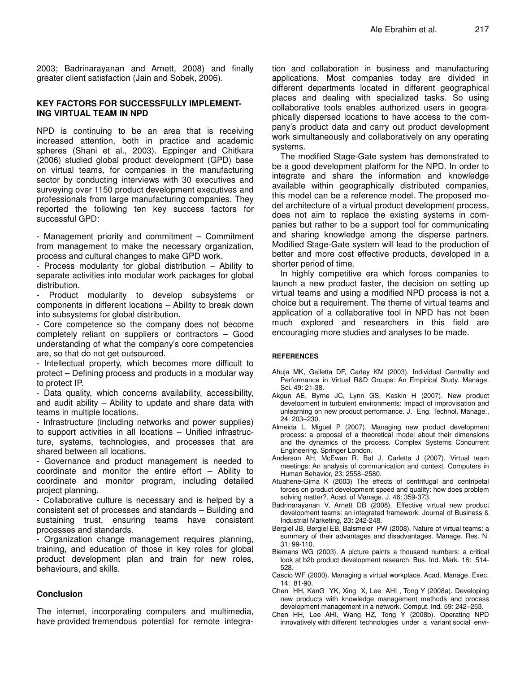2003; Badrinarayanan and Arnett, 2008) and finally greater client satisfaction (Jain and Sobek, 2006).

#### **KEY FACTORS FOR SUCCESSFULLY IMPLEMENT-ING VIRTUAL TEAM IN NPD**

NPD is continuing to be an area that is receiving increased attention, both in practice and academic spheres (Shani et al., 2003). Eppinger and Chitkara (2006) studied global product development (GPD) base on virtual teams, for companies in the manufacturing sector by conducting interviews with 30 executives and surveying over 1150 product development executives and professionals from large manufacturing companies. They reported the following ten key success factors for successful GPD:

- Management priority and commitment – Commitment from management to make the necessary organization, process and cultural changes to make GPD work.

- Process modularity for global distribution – Ability to separate activities into modular work packages for global distribution.

Product modularity to develop subsystems or components in different locations – Ability to break down into subsystems for global distribution.

- Core competence so the company does not become completely reliant on suppliers or contractors – Good understanding of what the company's core competencies are, so that do not get outsourced.

- Intellectual property, which becomes more difficult to protect – Defining process and products in a modular way to protect IP.

- Data quality, which concerns availability, accessibility, and audit ability – Ability to update and share data with teams in multiple locations.

- Infrastructure (including networks and power supplies) to support activities in all locations – Unified infrastructure, systems, technologies, and processes that are shared between all locations.

- Governance and product management is needed to coordinate and monitor the entire effort – Ability to coordinate and monitor program, including detailed project planning.

- Collaborative culture is necessary and is helped by a consistent set of processes and standards – Building and sustaining trust, ensuring teams have consistent processes and standards.

- Organization change management requires planning, training, and education of those in key roles for global product development plan and train for new roles, behaviours, and skills.

#### **Conclusion**

The internet, incorporating computers and multimedia, have provided tremendous potential for remote integration and collaboration in business and manufacturing applications. Most companies today are divided in different departments located in different geographical places and dealing with specialized tasks. So using collaborative tools enables authorized users in geographically dispersed locations to have access to the company's product data and carry out product development work simultaneously and collaboratively on any operating systems.

The modified Stage-Gate system has demonstrated to be a good development platform for the NPD. In order to integrate and share the information and knowledge available within geographically distributed companies, this model can be a reference model. The proposed model architecture of a virtual product development process, does not aim to replace the existing systems in companies but rather to be a support tool for communicating and sharing knowledge among the disperse partners. Modified Stage-Gate system will lead to the production of better and more cost effective products, developed in a shorter period of time.

In highly competitive era which forces companies to launch a new product faster, the decision on setting up virtual teams and using a modified NPD process is not a choice but a requirement. The theme of virtual teams and application of a collaborative tool in NPD has not been much explored and researchers in this field are encouraging more studies and analyses to be made.

#### **REFERENCES**

- Ahuja MK, Galletta DF, Carley KM (2003). Individual Centrality and Performance in Virtual R&D Groups: An Empirical Study. Manage. Sci. 49: 21-38.
- Akgun AE, Byrne JC, Lynn GS, Keskin H (2007). New product development in turbulent environments: Impact of improvisation and unlearning on new product performance. J. Eng. Technol. Manage., 24: 203–230.
- Almeida L, Miguel P (2007). Managing new product development process: a proposal of a theoretical model about their dimensions and the dynamics of the process. Complex Systems Concurrent Engineering. Springer London.
- Anderson AH, McEwan R, Bal J, Carletta J (2007). Virtual team meetings: An analysis of communication and context. Computers in Human Behavior, 23: 2558–2580.
- Atuahene-Gima K (2003) The effects of centrifugal and centripetal forces on product development speed and quality: how does problem solving matter?. Acad. of Manage. J. 46: 359-373.
- Badrinarayanan V, Arnett DB (2008). Effective virtual new product development teams: an integrated framework. Journal of Business & Industrial Marketing, 23**:** 242-248.
- Bergiel JB, Bergiel EB, Balsmeier PW (2008). Nature of virtual teams: a summary of their advantages and disadvantages. Manage. Res. N. 31: 99-110.
- Biemans WG (2003). A picture paints a thousand numbers: a critical look at b2b product development research. Bus. Ind. Mark. 18: 514- 528.
- Cascio WF (2000). Managing a virtual workplace. Acad. Manage. Exec. 14: 81-90.
- Chen HH, KanG YK, Xing X, Lee AHI , Tong Y (2008a). Developing new products with knowledge management methods and process development management in a network. Comput. Ind. 59: 242–253.
- Chen HH, Lee AHI, Wang HZ, Tong Y (2008b). Operating NPD innovatively with different technologies under a variant social envi-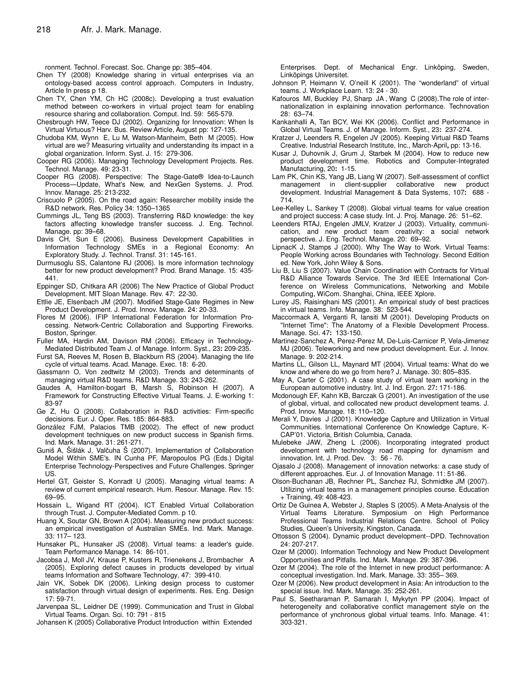ronment. Technol. Forecast. Soc. Change pp: 385–404.

- Chen TY (2008) Knowledge sharing in virtual enterprises via an ontology-based access control approach. Computers in Industry, Article In press p 18.
- Chen TY, Chen YM, Ch HC (2008c). Developing a trust evaluation method between co-workers in virtual project team for enabling resource sharing and collaboration. Comput. Ind. 59: 565-579.
- Chesbrough HW, Teece DJ (2002). Organizing for Innovation: When Is Virtual Virtuous? Harv. Bus. Review Article, August pp: 127-135.
- Chudoba KM, Wynn E, Lu M, Watson-Manheim, Beth M (2005). How virtual are we? Measuring virtuality and understanding its impact in a global organization. Inform. Syst. J. 15: 279-306.
- Cooper RG (2006). Managing Technology Development Projects. Res. Technol. Manage. 49: 23-31.
- Cooper RG (2008). Perspective: The Stage-Gate® Idea-to-Launch Process—Update, What's New, and NexGen Systems. J. Prod. Innov. Manage. 25: 213-232.
- Criscuolo P (2005). On the road again: Researcher mobility inside the R&D network. Res. Policy 34: 1350–1365
- Cummings JL, Teng BS (2003). Transferring R&D knowledge: the key factors affecting knowledge transfer success. J. Eng. Technol. Manage. pp: 39–68.
- Davis CH, Sun E (2006). Business Development Capabilities in Information Technology SMEs in a Regional Economy: An Exploratory Study. J. Technol. Transf. 31: 145-161.
- Durmusoglu SS, Calantone RJ (2006). Is more information technology better for new product development? Prod. Brand Manage. 15: 435- 441.
- Eppinger SD, Chitkara AR (2006) The New Practice of Global Product Development. MIT Sloan Manage. Rev. 47: 22-30.
- Ettlie JE, Elsenbach JM (2007). Modified Stage-Gate Regimes in New Product Development. J. Prod. Innov. Manage. 24: 20-33.
- Flores M (2006). IFIP International Federation for Information Processing. Network-Centric Collaboration and Supporting Fireworks. Boston, Springer.
- Fuller MA, Hardin AM, Davison RM (2006). Efficacy in Technology-Mediated Distributed Team J. of Manage. Inform. Syst., 23**:** 209-235.
- Furst SA, Reeves M, Rosen B, Blackburn RS (2004). Managing the life cycle of virtual teams. Acad. Manage. Exec. 18: 6-20.
- Gassmann O, Von zedtwitz M (2003). Trends and determinants of managing virtual R&D teams. R&D Manage. 33: 243-262.
- Gaudes A, Hamilton-bogart B, Marsh S, Robinson H (2007). A Framework for Constructing Effective Virtual Teams. J. E-working 1: 83-97
- Ge Z, Hu Q (2008). Collaboration in R&D activities: Firm-specific decisions. Eur. J. Oper. Res. 185: 864-883.
- González FJM, Palacios TMB (2002). The effect of new product development techniques on new product success in Spanish firms. Ind. Mark. Manage. 31: 261-271.
- Guniš A, Šišlák J, Valčuha Š (2007). Implementation of Collaboration Model Within SME's. IN Cunha PF, Maropoulos PG (Eds.) Digital Enterprise Technology-Perspectives and Future Challenges. Springer US.
- Hertel GT, Geister S, Konradt U (2005). Managing virtual teams: A review of current empirical research. Hum. Resour. Manage. Rev. 15: 69–95.
- Hossain L, Wigand RT (2004). ICT Enabled Virtual Collaboration through Trust. J. Computer-Mediated Comm. p 10.
- Huang X, Soutar GN, Brown A (2004). Measuring new product success: an empirical investigation of Australian SMEs. Ind. Mark. Manage. 33: 117– 123.
- Hunsaker PL, Hunsaker JS (2008). Virtual teams: a leader's guide. Team Performance Manage. 14: 86-101.
- Jacobsa J, Moll JV, Krause P, Kusters R, Trienekens J, Brombacher A (2005). Exploring defect causes in products developed by virtual teams Information and Software Technology, 47: 399-410.
- Jain VK, Sobek DK (2006). Linking design process to customer satisfaction through virtual design of experiments. Res. Eng. Design 17: 59-71.
- Jarvenpaa SL, Leidner DE (1999). Communication and Trust in Global Virtual Teams. Organ. Sci. 10: 791 - 815

Johansen K (2005) Collaborative Product Introduction within Extended

Enterprises. Dept. of Mechanical Engr. Linköping, Sweden, Linköpings Universitet.

- Johnson P, Heimann V, O'neill K (2001). The "wonderland" of virtual teams. J. Workplace Learn. 13: 24 - 30.
- Kafouros MI, Buckley PJ, Sharp JA , Wang C (2008).The role of internationalization in explaining innovation performance. Technovation 28: 63–74.
- Kankanhalli A, Tan BCY, Wei KK (2006). Conflict and Performance in Global Virtual Teams. J. of Manage. Inform. Syst., 23**:** 237-274.
- Kratzer J, Leenders R, Engelen JV (2005). Keeping Virtual R&D Teams Creative. Industrial Research Institute, Inc., March-April**,** pp: 13-16.
- Kusar J, Duhovnik J, Grum J, Starbek M (2004). How to reduce new product development time. Robotics and Computer-Integrated Manufacturing, 20**:** 1-15.
- Lam PK, Chin KS, Yang JB, Liang W (2007). Self-assessment of conflict management in client-supplier collaborative new product development. Industrial Management & Data Systems, 107**:** 688 - 714.
- Lee-Kelley L, Sankey T (2008). Global virtual teams for value creation and project success: A case study. Int. J. Proj. Manage. 26: 51–62.
- Leenders RTAJ, Engelen JMLV, Kratzer J (2003). Virtuality, communication, and new product team creativity: a social network perspective. J. Eng. Technol. Manage. 20: 69–92.
- LipnacK J, Stamps J (2000). Why The Way to Work. Virtual Teams: People Working across Boundaries with Technology. Second Edition ed. New York, John Wiley & Sons.
- Liu B, Liu S (2007). Value Chain Coordination with Contracts for Virtual R&D Alliance Towards Service. The 3rd IEEE International Conference on Wireless Communications, Networking and Mobile Computing, WiCom. Shanghai, China, IEEE Xplore.
- Lurey JS, Raisinghani MS (2001). An empirical study of best practices in virtual teams. Info. Manage. 38: 523-544.
- Maccormack A, Verganti R, Iansiti M (2001). Developing Products on "Internet Time": The Anatomy of a Flexible Development Process. Manage. Sci. 47**:** 133-150.
- Martinez-Sanchez A, Perez-Perez M, De-Luis-Carnicer P, Vela-Jimenez MJ (2006). Teleworking and new product development. Eur. J. Innov. Manage. 9: 202-214.
- Martins LL, Gilson LL, Maynard MT (2004). Virtual teams: What do we know and where do we go from here? J. Manage. 30: 805–835.
- May A, Carter C (2001). A case study of virtual team working in the European automotive industry. Int. J. Ind. Ergon. 27**:** 171-186.
- Mcdonough EF, Kahn KB, Barczak G (2001). An investigation of the use of global, virtual, and collocated new product development teams. J. Prod. Innov. Manage. 18: 110–120.
- Merali Y, Davies J (2001). Knowledge Capture and Utilization in Virtual Communities. International Conference On Knowledge Capture, K-CAP'01. Victoria, British Columbia, Canada.
- Mulebeke JAW, Zheng L (2006). Incorporating integrated product development with technology road mapping for dynamism and innovation. Int. J. Prod. Dev. 3: 56 - 76.
- Ojasalo J (2008). Management of innovation networks: a case study of different approaches. Eur. J. of Innovation Manage. 11: 51-86.
- Olson-Buchanan JB, Rechner PL, Sanchez RJ, Schmidtke JM (2007). Utilizing virtual teams in a management principles course. Education + Training, 49: 408-423.
- Ortiz De Guinea A, Webster J, Staples S (2005). A Meta-Analysis of the Virtual Teams Literature. Symposium on High Performance Professional Teams Industrial Relations Centre. School of Policy Studies, Queen's University, Kingston, Canada.
- Ottosson S (2004). Dynamic product development--DPD. Technovation 24: 207-217.
- Ozer M (2000). Information Technology and New Product Development Opportunities and Pitfalls. Ind. Mark. Manage. 29: 387-396.
- Ozer M (2004). The role of the Internet in new product performance: A conceptual investigation. Ind. Mark. Manage. 33: 355– 369.
- Ozer M (2006). New product development in Asia: An introduction to the special issue. Ind. Mark. Manage. 35: 252-261.
- Paul S, Seetharaman P, Samarah I, Mykytyn PP (2004). Impact of heterogeneity and collaborative conflict management style on the performance of ynchronous global virtual teams. Info. Manage. 41: 303-321.